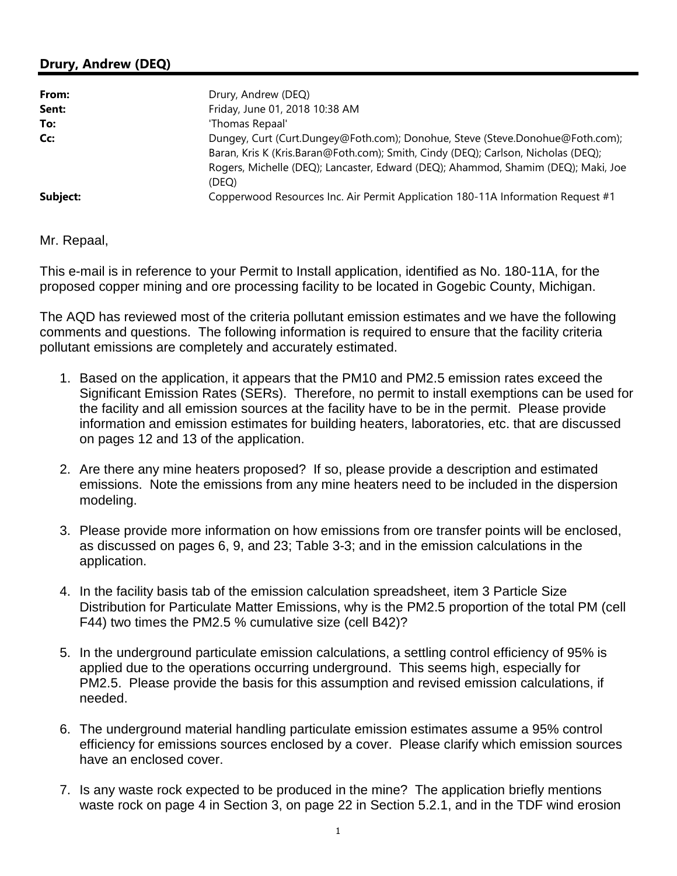## **Drury, Andrew (DEQ)**

| From:    | Drury, Andrew (DEQ)                                                                                                                                                                                                                                              |
|----------|------------------------------------------------------------------------------------------------------------------------------------------------------------------------------------------------------------------------------------------------------------------|
| Sent:    | Friday, June 01, 2018 10:38 AM                                                                                                                                                                                                                                   |
| To:      | 'Thomas Repaal'                                                                                                                                                                                                                                                  |
| Cc:      | Dungey, Curt (Curt.Dungey@Foth.com); Donohue, Steve (Steve.Donohue@Foth.com);<br>Baran, Kris K (Kris.Baran@Foth.com); Smith, Cindy (DEQ); Carlson, Nicholas (DEQ);<br>Rogers, Michelle (DEQ); Lancaster, Edward (DEQ); Ahammod, Shamim (DEQ); Maki, Joe<br>(DEO) |
| Subject: | Copperwood Resources Inc. Air Permit Application 180-11A Information Request #1                                                                                                                                                                                  |

Mr. Repaal,

 This e-mail is in reference to your Permit to Install application, identified as No. 180-11A, for the proposed copper mining and ore processing facility to be located in Gogebic County, Michigan.

 The AQD has reviewed most of the criteria pollutant emission estimates and we have the following comments and questions. The following information is required to ensure that the facility criteria pollutant emissions are completely and accurately estimated.

- 1. Based on the application, it appears that the PM10 and PM2.5 emission rates exceed the Significant Emission Rates (SERs). Therefore, no permit to install exemptions can be used for the facility and all emission sources at the facility have to be in the permit. Please provide information and emission estimates for building heaters, laboratories, etc. that are discussed on pages 12 and 13 of the application.
- 2. Are there any mine heaters proposed? If so, please provide a description and estimated emissions. Note the emissions from any mine heaters need to be included in the dispersion modeling.
- 3. Please provide more information on how emissions from ore transfer points will be enclosed, as discussed on pages 6, 9, and 23; Table 3-3; and in the emission calculations in the application.
- 4. In the facility basis tab of the emission calculation spreadsheet, item 3 Particle Size Distribution for Particulate Matter Emissions, why is the PM2.5 proportion of the total PM (cell F44) two times the PM2.5 % cumulative size (cell B42)?
- 5. In the underground particulate emission calculations, a settling control efficiency of 95% is applied due to the operations occurring underground. This seems high, especially for PM2.5. Please provide the basis for this assumption and revised emission calculations, if needed.
- 6. The underground material handling particulate emission estimates assume a 95% control efficiency for emissions sources enclosed by a cover. Please clarify which emission sources have an enclosed cover.
- 7. Is any waste rock expected to be produced in the mine? The application briefly mentions waste rock on page 4 in Section 3, on page 22 in Section 5.2.1, and in the TDF wind erosion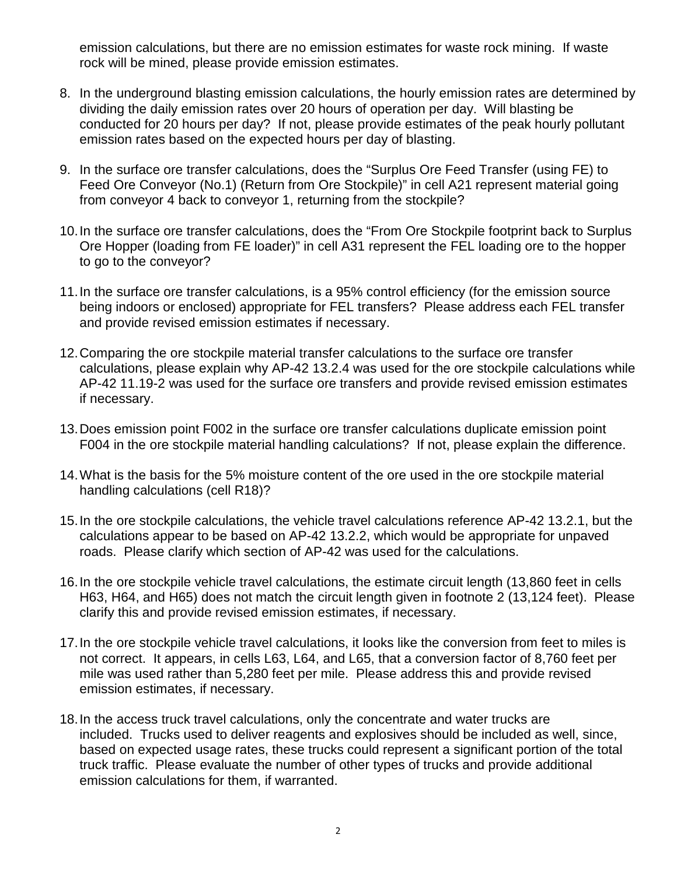emission calculations, but there are no emission estimates for waste rock mining. If waste rock will be mined, please provide emission estimates.

- 8. In the underground blasting emission calculations, the hourly emission rates are determined by dividing the daily emission rates over 20 hours of operation per day. Will blasting be conducted for 20 hours per day? If not, please provide estimates of the peak hourly pollutant emission rates based on the expected hours per day of blasting.
- 9. In the surface ore transfer calculations, does the "Surplus Ore Feed Transfer (using FE) to Feed Ore Conveyor (No.1) (Return from Ore Stockpile)" in cell A21 represent material going from conveyor 4 back to conveyor 1, returning from the stockpile?
- 10.In the surface ore transfer calculations, does the "From Ore Stockpile footprint back to Surplus Ore Hopper (loading from FE loader)" in cell A31 represent the FEL loading ore to the hopper to go to the conveyor?
- 11.In the surface ore transfer calculations, is a 95% control efficiency (for the emission source being indoors or enclosed) appropriate for FEL transfers? Please address each FEL transfer and provide revised emission estimates if necessary.
- 12.Comparing the ore stockpile material transfer calculations to the surface ore transfer calculations, please explain why AP-42 13.2.4 was used for the ore stockpile calculations while AP-42 11.19-2 was used for the surface ore transfers and provide revised emission estimates if necessary.
- 13.Does emission point F002 in the surface ore transfer calculations duplicate emission point F004 in the ore stockpile material handling calculations? If not, please explain the difference.
- 14.What is the basis for the 5% moisture content of the ore used in the ore stockpile material handling calculations (cell R18)?
- 15.In the ore stockpile calculations, the vehicle travel calculations reference AP-42 13.2.1, but the calculations appear to be based on AP-42 13.2.2, which would be appropriate for unpaved roads. Please clarify which section of AP-42 was used for the calculations.
- 16.In the ore stockpile vehicle travel calculations, the estimate circuit length (13,860 feet in cells H63, H64, and H65) does not match the circuit length given in footnote 2 (13,124 feet). Please clarify this and provide revised emission estimates, if necessary.
- 17.In the ore stockpile vehicle travel calculations, it looks like the conversion from feet to miles is not correct. It appears, in cells L63, L64, and L65, that a conversion factor of 8,760 feet per mile was used rather than 5,280 feet per mile. Please address this and provide revised emission estimates, if necessary.
- 18.In the access truck travel calculations, only the concentrate and water trucks are included. Trucks used to deliver reagents and explosives should be included as well, since, based on expected usage rates, these trucks could represent a significant portion of the total truck traffic. Please evaluate the number of other types of trucks and provide additional emission calculations for them, if warranted.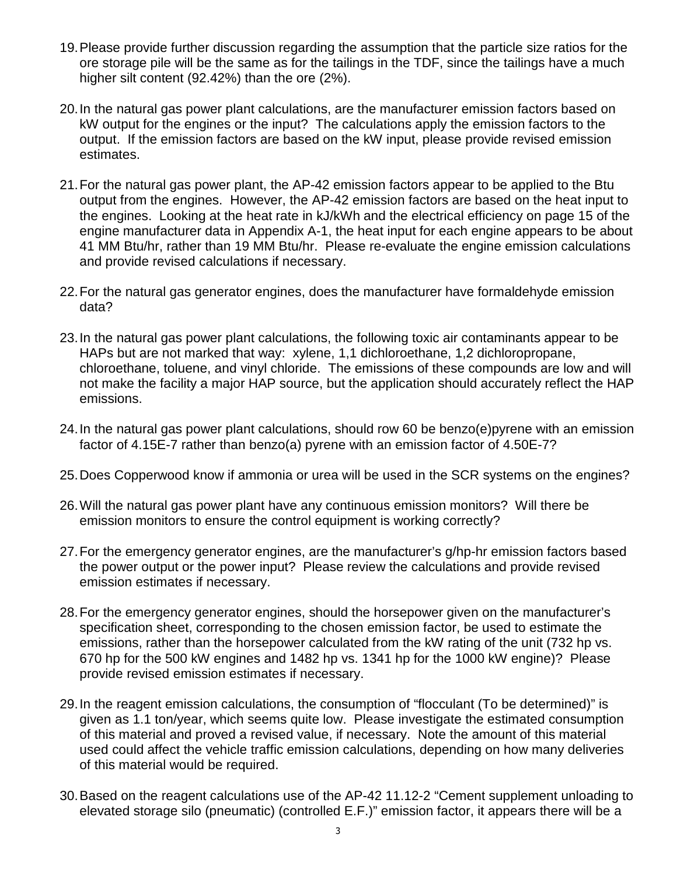- 19.Please provide further discussion regarding the assumption that the particle size ratios for the ore storage pile will be the same as for the tailings in the TDF, since the tailings have a much higher silt content (92.42%) than the ore (2%).
- 20.In the natural gas power plant calculations, are the manufacturer emission factors based on kW output for the engines or the input? The calculations apply the emission factors to the output. If the emission factors are based on the kW input, please provide revised emission estimates.
- 21.For the natural gas power plant, the AP-42 emission factors appear to be applied to the Btu output from the engines. However, the AP-42 emission factors are based on the heat input to the engines. Looking at the heat rate in kJ/kWh and the electrical efficiency on page 15 of the engine manufacturer data in Appendix A-1, the heat input for each engine appears to be about 41 MM Btu/hr, rather than 19 MM Btu/hr. Please re-evaluate the engine emission calculations and provide revised calculations if necessary.
- 22.For the natural gas generator engines, does the manufacturer have formaldehyde emission data?
- 23.In the natural gas power plant calculations, the following toxic air contaminants appear to be HAPs but are not marked that way: xylene, 1,1 dichloroethane, 1,2 dichloropropane, chloroethane, toluene, and vinyl chloride. The emissions of these compounds are low and will not make the facility a major HAP source, but the application should accurately reflect the HAP emissions.
- 24.In the natural gas power plant calculations, should row 60 be benzo(e)pyrene with an emission factor of 4.15E-7 rather than benzo(a) pyrene with an emission factor of 4.50E-7?
- 25.Does Copperwood know if ammonia or urea will be used in the SCR systems on the engines?
- 26.Will the natural gas power plant have any continuous emission monitors? Will there be emission monitors to ensure the control equipment is working correctly?
- 27.For the emergency generator engines, are the manufacturer's g/hp-hr emission factors based the power output or the power input? Please review the calculations and provide revised emission estimates if necessary.
- 28.For the emergency generator engines, should the horsepower given on the manufacturer's specification sheet, corresponding to the chosen emission factor, be used to estimate the emissions, rather than the horsepower calculated from the kW rating of the unit (732 hp vs. 670 hp for the 500 kW engines and 1482 hp vs. 1341 hp for the 1000 kW engine)? Please provide revised emission estimates if necessary.
- 29.In the reagent emission calculations, the consumption of "flocculant (To be determined)" is given as 1.1 ton/year, which seems quite low. Please investigate the estimated consumption of this material and proved a revised value, if necessary. Note the amount of this material used could affect the vehicle traffic emission calculations, depending on how many deliveries of this material would be required.
- 30.Based on the reagent calculations use of the AP-42 11.12-2 "Cement supplement unloading to elevated storage silo (pneumatic) (controlled E.F.)" emission factor, it appears there will be a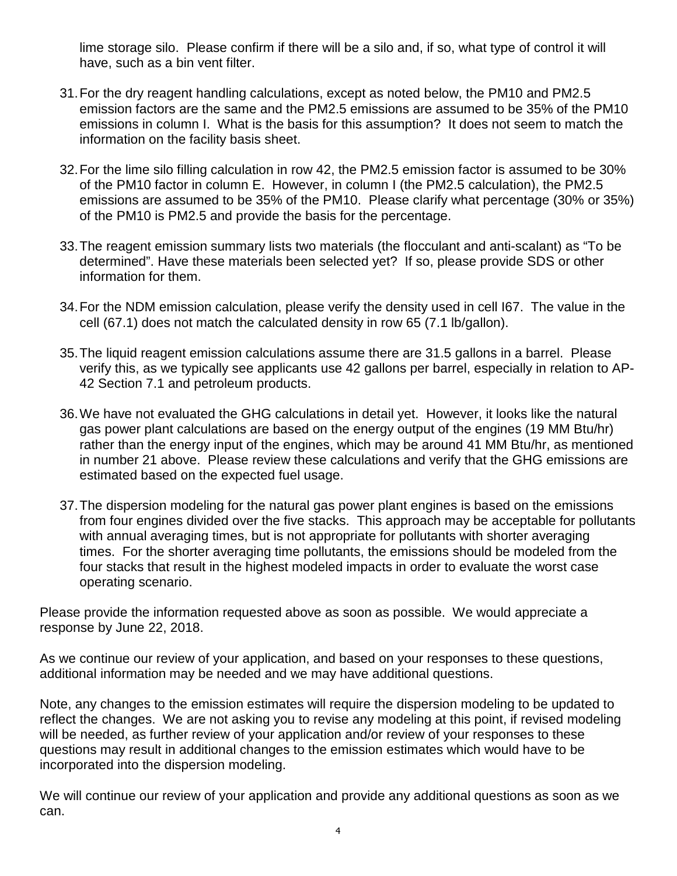lime storage silo. Please confirm if there will be a silo and, if so, what type of control it will have, such as a bin vent filter.

- 31.For the dry reagent handling calculations, except as noted below, the PM10 and PM2.5 emission factors are the same and the PM2.5 emissions are assumed to be 35% of the PM10 emissions in column I. What is the basis for this assumption? It does not seem to match the information on the facility basis sheet.
- 32.For the lime silo filling calculation in row 42, the PM2.5 emission factor is assumed to be 30% of the PM10 factor in column E. However, in column I (the PM2.5 calculation), the PM2.5 emissions are assumed to be 35% of the PM10. Please clarify what percentage (30% or 35%) of the PM10 is PM2.5 and provide the basis for the percentage.
- 33.The reagent emission summary lists two materials (the flocculant and anti-scalant) as "To be determined". Have these materials been selected yet? If so, please provide SDS or other information for them.
- 34.For the NDM emission calculation, please verify the density used in cell I67. The value in the cell (67.1) does not match the calculated density in row 65 (7.1 lb/gallon).
- 35.The liquid reagent emission calculations assume there are 31.5 gallons in a barrel. Please verify this, as we typically see applicants use 42 gallons per barrel, especially in relation to AP-42 Section 7.1 and petroleum products.
- 36.We have not evaluated the GHG calculations in detail yet. However, it looks like the natural gas power plant calculations are based on the energy output of the engines (19 MM Btu/hr) rather than the energy input of the engines, which may be around 41 MM Btu/hr, as mentioned in number 21 above. Please review these calculations and verify that the GHG emissions are estimated based on the expected fuel usage.
- 37.The dispersion modeling for the natural gas power plant engines is based on the emissions from four engines divided over the five stacks. This approach may be acceptable for pollutants with annual averaging times, but is not appropriate for pollutants with shorter averaging times. For the shorter averaging time pollutants, the emissions should be modeled from the four stacks that result in the highest modeled impacts in order to evaluate the worst case operating scenario.

 Please provide the information requested above as soon as possible. We would appreciate a response by June 22, 2018.

 As we continue our review of your application, and based on your responses to these questions, additional information may be needed and we may have additional questions.

 Note, any changes to the emission estimates will require the dispersion modeling to be updated to reflect the changes. We are not asking you to revise any modeling at this point, if revised modeling will be needed, as further review of your application and/or review of your responses to these questions may result in additional changes to the emission estimates which would have to be incorporated into the dispersion modeling.

 We will continue our review of your application and provide any additional questions as soon as we can.